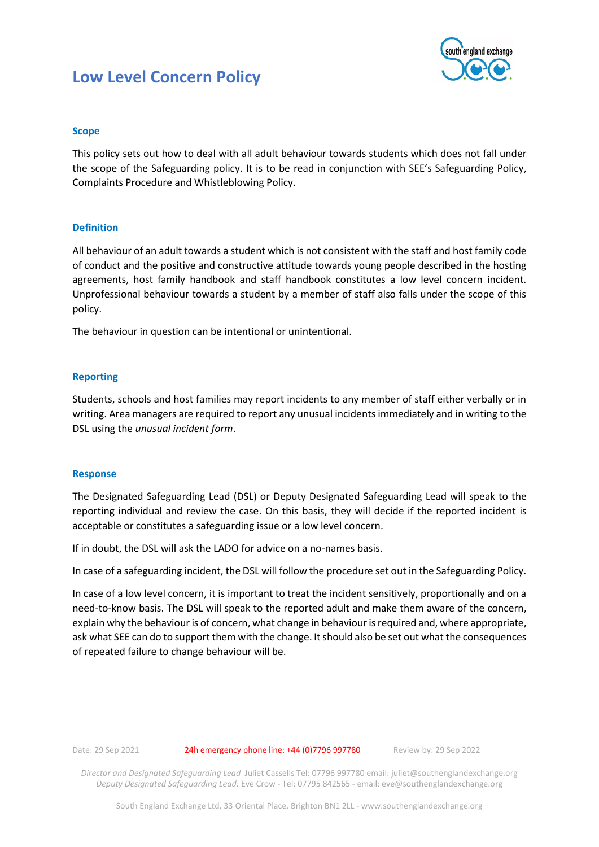# **Low Level Concern Policy**



## **Scope**

This policy sets out how to deal with all adult behaviour towards students which does not fall under the scope of the Safeguarding policy. It is to be read in conjunction with SEE's Safeguarding Policy, Complaints Procedure and Whistleblowing Policy.

### **Definition**

All behaviour of an adult towards a student which is not consistent with the staff and host family code of conduct and the positive and constructive attitude towards young people described in the hosting agreements, host family handbook and staff handbook constitutes a low level concern incident. Unprofessional behaviour towards a student by a member of staff also falls under the scope of this policy.

The behaviour in question can be intentional or unintentional.

### **Reporting**

Students, schools and host families may report incidents to any member of staff either verbally or in writing. Area managers are required to report any unusual incidents immediately and in writing to the DSL using the *unusual incident form*.

#### **Response**

The Designated Safeguarding Lead (DSL) or Deputy Designated Safeguarding Lead will speak to the reporting individual and review the case. On this basis, they will decide if the reported incident is acceptable or constitutes a safeguarding issue or a low level concern.

If in doubt, the DSL will ask the LADO for advice on a no-names basis.

In case of a safeguarding incident, the DSL will follow the procedure set out in the Safeguarding Policy.

In case of a low level concern, it is important to treat the incident sensitively, proportionally and on a need-to-know basis. The DSL will speak to the reported adult and make them aware of the concern, explain why the behaviour is of concern, what change in behaviour is required and, where appropriate, ask what SEE can do to support them with the change. It should also be set out what the consequences of repeated failure to change behaviour will be.

Date: 29 Sep 2021 24h emergency phone line: +44 (0) 7796 997780 Review by: 29 Sep 2022

*Director and Designated Safeguarding Lead* Juliet Cassells Tel: 07796 997780 email: juliet@southenglandexchange.org *Deputy Designated Safeguarding Lead:* Eve Crow - Tel: 07795 842565 - email[: eve@southenglandexchange.org](mailto:eve@southenglandexchange.org)